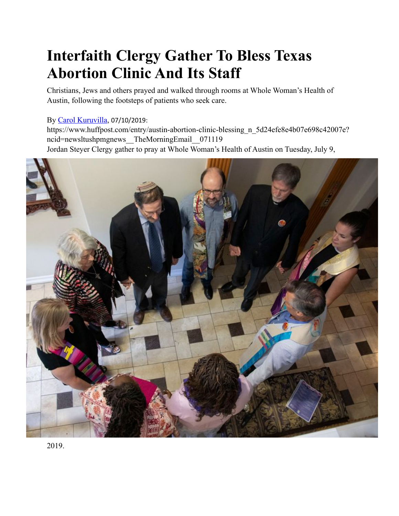## **Interfaith Clergy Gather To Bless Texas Abortion Clinic And Its Staff**

Christians, Jews and others prayed and walked through rooms at Whole Woman's Health of Austin, following the footsteps of patients who seek care.

## By [Carol Kuruvilla,](https://www.huffpost.com/author/carol-kuruvilla) 07/10/2019:

https://www.huffpost.com/entry/austin-abortion-clinic-blessing\_n\_5d24efe8e4b07e698c42007e? ncid=newsltushpmgnews TheMorningEmail 071119 Jordan Steyer Clergy gather to pray at Whole Woman's Health of Austin on Tuesday, July 9,

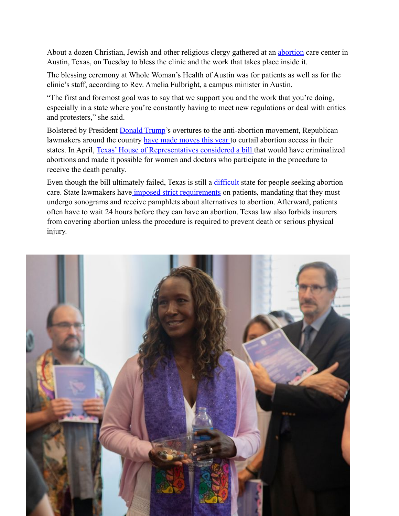About a dozen Christian, Jewish and other religious clergy gathered at an [abortion](https://www.huffpost.com/voices/topic/abortion) care center in Austin, Texas, on Tuesday to bless the clinic and the work that takes place inside it.

The blessing ceremony at Whole Woman's Health of Austin was for patients as well as for the clinic's staff, according to Rev. Amelia Fulbright, a campus minister in Austin.

"The first and foremost goal was to say that we support you and the work that you're doing, especially in a state where you're constantly having to meet new regulations or deal with critics and protesters," she said.

Bolstered by President [Donald Trump'](https://www.huffpost.com/news/topic/donald-trump)s overtures to the anti-abortion movement, Republican lawmakers around the country [have made moves this year t](https://www.cnn.com/2019/05/16/politics/states-abortion-laws/index.html)o curtail abortion access in their states. In April, [Texas' House of Representatives considered a bill t](https://www.huffpost.com/entry/ron-wright-abortion_n_5cf98a19e4b06af8b505bbc4)hat would have criminalized abortions and made it possible for women and doctors who participate in the procedure to receive the death penalty.

Even though the bill ultimately failed, Texas is still a *difficult* state for people seeking abortion care. State lawmakers have *imposed strict requirements* on patients, mandating that they must undergo sonograms and receive pamphlets about alternatives to abortion. Afterward, patients often have to wait 24 hours before they can have an abortion. Texas law also forbids insurers from covering abortion unless the procedure is required to prevent death or serious physical injury.

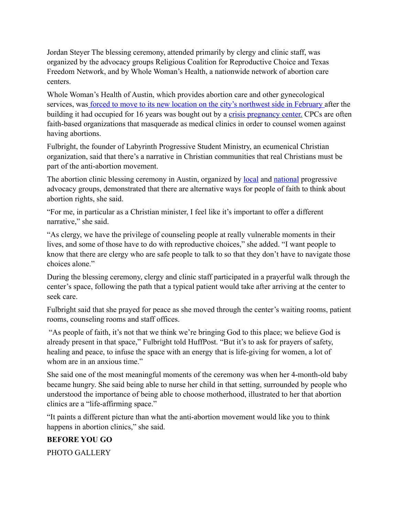Jordan Steyer The blessing ceremony, attended primarily by clergy and clinic staff, was organized by the advocacy groups Religious Coalition for Reproductive Choice and Texas Freedom Network, and by Whole Woman's Health, a nationwide network of abortion care centers.

Whole Woman's Health of Austin, which provides abortion care and other gynecological services, wa[s forced to move to its new location on the city's northwest side in February](https://www.austinchronicle.com/news/2019-02-22/whole-womans-health-caught-up-in-anti-abortion-turf-war/) after the building it had occupied for 16 years was bought out by a [crisis pregnancy center.](https://www.huffpost.com/topic/crisis-pregnancy-center) CPCs are often faith-based organizations that masquerade as medical clinics in order to counsel women against having abortions.

Fulbright, the founder of Labyrinth Progressive Student Ministry, an ecumenical Christian organization, said that there's a narrative in Christian communities that real Christians must be part of the anti-abortion movement.

The abortion clinic blessing ceremony in Austin, organized by <u>[local](https://tfn.org/)</u> and [national](http://rcrc.org/) progressive advocacy groups, demonstrated that there are alternative ways for people of faith to think about abortion rights, she said.

"For me, in particular as a Christian minister, I feel like it's important to offer a different narrative," she said.

"As clergy, we have the privilege of counseling people at really vulnerable moments in their lives, and some of those have to do with reproductive choices," she added. "I want people to know that there are clergy who are safe people to talk to so that they don't have to navigate those choices alone."

During the blessing ceremony, clergy and clinic staff participated in a prayerful walk through the center's space, following the path that a typical patient would take after arriving at the center to seek care.

Fulbright said that she prayed for peace as she moved through the center's waiting rooms, patient rooms, counseling rooms and staff offices.

 "As people of faith, it's not that we think we're bringing God to this place; we believe God is already present in that space," Fulbright told HuffPost. "But it's to ask for prayers of safety, healing and peace, to infuse the space with an energy that is life-giving for women, a lot of whom are in an anxious time."

She said one of the most meaningful moments of the ceremony was when her 4-month-old baby became hungry. She said being able to nurse her child in that setting, surrounded by people who understood the importance of being able to choose motherhood, illustrated to her that abortion clinics are a "life-affirming space."

"It paints a different picture than what the anti-abortion movement would like you to think happens in abortion clinics," she said.

## **BEFORE YOU GO**  PHOTO GALLERY